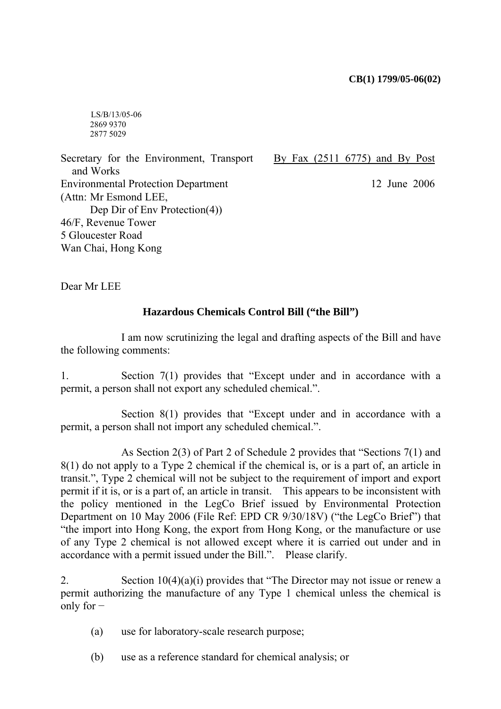LS/B/13/05-06 2869 9370 2877 5029

Secretary for the Environment, Transport and Works Environmental Protection Department (Attn: Mr Esmond LEE, Dep Dir of Env Protection(4)) 46/F, Revenue Tower 5 Gloucester Road Wan Chai, Hong Kong

By Fax (2511 6775) and By Post

12 June 2006

Dear Mr LEE

## **Hazardous Chemicals Control Bill ("the Bill")**

 I am now scrutinizing the legal and drafting aspects of the Bill and have the following comments:

1. Section  $7(1)$  provides that "Except under and in accordance with a permit, a person shall not export any scheduled chemical.".

Section  $8(1)$  provides that "Except under and in accordance with a permit, a person shall not import any scheduled chemical.".

As Section 2(3) of Part 2 of Schedule 2 provides that "Sections  $7(1)$  and 8(1) do not apply to a Type 2 chemical if the chemical is, or is a part of, an article in transit.î, Type 2 chemical will not be subject to the requirement of import and export permit if it is, or is a part of, an article in transit. This appears to be inconsistent with the policy mentioned in the LegCo Brief issued by Environmental Protection Department on 10 May 2006 (File Ref: EPD CR  $9/30/18V$ ) ("the LegCo Brief") that ìthe import into Hong Kong, the export from Hong Kong, or the manufacture or use of any Type 2 chemical is not allowed except where it is carried out under and in accordance with a permit issued under the Bill.". Please clarify.

2. Section  $10(4)(a)(i)$  provides that "The Director may not issue or renew a permit authorizing the manufacture of any Type 1 chemical unless the chemical is only for −

- (a) use for laboratory-scale research purpose;
- (b) use as a reference standard for chemical analysis; or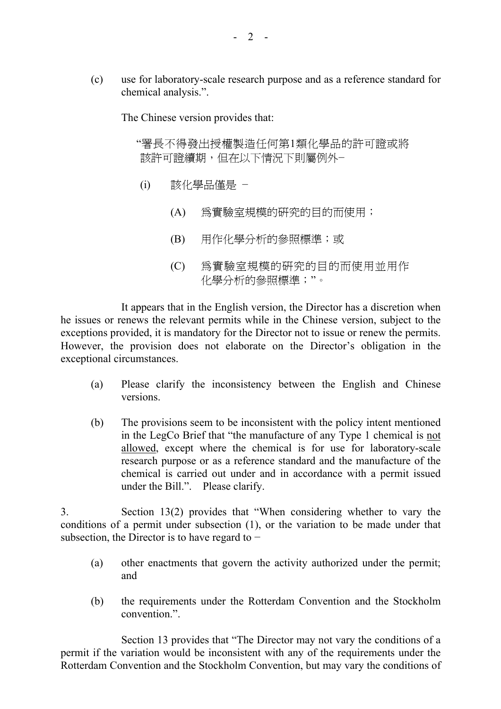(c) use for laboratory-scale research purpose and as a reference standard for chemical analysis.".

The Chinese version provides that:

"署長不得發出授權製浩任何第1類化學品的許可證或將 該許可證續期,但在以下情況下則屬例外−

- (i) 該化學品僅是 −
	- (A) 為實驗室規模的研究的目的而使用;
	- (B) 用作化學分析的參照標準;或
	- (C) 為實驗室規模的研究的目的而使用並用作 化學分析的參照標準;"。

It appears that in the English version, the Director has a discretion when he issues or renews the relevant permits while in the Chinese version, subject to the exceptions provided, it is mandatory for the Director not to issue or renew the permits. However, the provision does not elaborate on the Director's obligation in the exceptional circumstances.

- (a) Please clarify the inconsistency between the English and Chinese versions.
- (b) The provisions seem to be inconsistent with the policy intent mentioned in the LegCo Brief that "the manufacture of any Type 1 chemical is not allowed, except where the chemical is for use for laboratory-scale research purpose or as a reference standard and the manufacture of the chemical is carried out under and in accordance with a permit issued under the Bill.". Please clarify.

3. Section  $13(2)$  provides that "When considering whether to vary the conditions of a permit under subsection (1), or the variation to be made under that subsection, the Director is to have regard to −

- (a) other enactments that govern the activity authorized under the permit; and
- (b) the requirements under the Rotterdam Convention and the Stockholm convention.<sup>"</sup>

Section 13 provides that "The Director may not vary the conditions of a permit if the variation would be inconsistent with any of the requirements under the Rotterdam Convention and the Stockholm Convention, but may vary the conditions of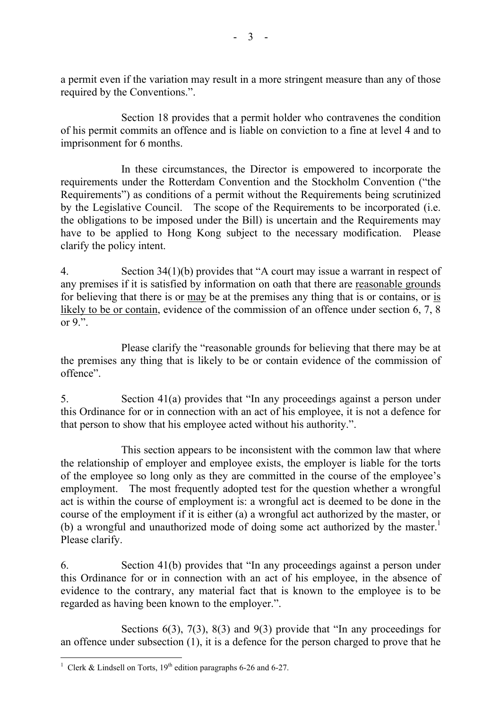a permit even if the variation may result in a more stringent measure than any of those required by the Conventions.".

 Section 18 provides that a permit holder who contravenes the condition of his permit commits an offence and is liable on conviction to a fine at level 4 and to imprisonment for 6 months.

 In these circumstances, the Director is empowered to incorporate the requirements under the Rotterdam Convention and the Stockholm Convention ("the Requirements<sup>"</sup>) as conditions of a permit without the Requirements being scrutinized by the Legislative Council. The scope of the Requirements to be incorporated (i.e. the obligations to be imposed under the Bill) is uncertain and the Requirements may have to be applied to Hong Kong subject to the necessary modification. Please clarify the policy intent.

4. Section  $34(1)(b)$  provides that "A court may issue a warrant in respect of any premises if it is satisfied by information on oath that there are reasonable grounds for believing that there is or may be at the premises any thing that is or contains, or is likely to be or contain, evidence of the commission of an offence under section 6, 7, 8 or  $9$ ...

Please clarify the "reasonable grounds for believing that there may be at the premises any thing that is likely to be or contain evidence of the commission of offence".

5. Section  $41(a)$  provides that "In any proceedings against a person under this Ordinance for or in connection with an act of his employee, it is not a defence for that person to show that his employee acted without his authority.".

 This section appears to be inconsistent with the common law that where the relationship of employer and employee exists, the employer is liable for the torts of the employee so long only as they are committed in the course of the employee's employment. The most frequently adopted test for the question whether a wrongful act is within the course of employment is: a wrongful act is deemed to be done in the course of the employment if it is either (a) a wrongful act authorized by the master, or (b) a wrongful and unauthorized mode of doing some act authorized by the master.<sup>1</sup> Please clarify.

6. Section 41(b) provides that "In any proceedings against a person under this Ordinance for or in connection with an act of his employee, in the absence of evidence to the contrary, any material fact that is known to the employee is to be regarded as having been known to the employer.".

Sections  $6(3)$ ,  $7(3)$ ,  $8(3)$  and  $9(3)$  provide that "In any proceedings for an offence under subsection (1), it is a defence for the person charged to prove that he

<sup>&</sup>lt;sup>1</sup> Clerk & Lindsell on Torts,  $19<sup>th</sup>$  edition paragraphs 6-26 and 6-27.